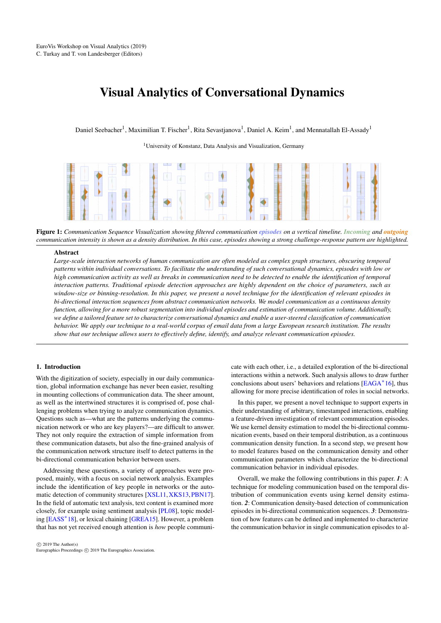# <span id="page-0-1"></span>Visual Analytics of Conversational Dynamics

Daniel Seebacher<sup>1</sup>, Maximilian T. Fischer<sup>1</sup>, Rita Sevastjanova<sup>1</sup>, Daniel A. Keim<sup>1</sup>, and Mennatallah El-Assady<sup>1</sup>

<sup>1</sup> University of Konstanz, Data Analysis and Visualization, Germany



Figure 1: *Communication Sequence Visualization showing filtered communication episodes on a vertical timeline. Incoming and outgoing communication intensity is shown as a density distribution. In this case, episodes showing a strong challenge-response pattern are highlighted.*

#### <span id="page-0-0"></span>Abstract

*Large-scale interaction networks of human communication are often modeled as complex graph structures, obscuring temporal patterns within individual conversations. To facilitate the understanding of such conversational dynamics, episodes with low or high communication activity as well as breaks in communication need to be detected to enable the identification of temporal interaction patterns. Traditional episode detection approaches are highly dependent on the choice of parameters, such as window-size or binning-resolution. In this paper, we present a novel technique for the identification of relevant episodes in bi-directional interaction sequences from abstract communication networks. We model communication as a continuous density function, allowing for a more robust segmentation into individual episodes and estimation of communication volume. Additionally, we define a tailored feature set to characterize conversational dynamics and enable a user-steered classification of communication behavior. We apply our technique to a real-world corpus of email data from a large European research institution. The results show that our technique allows users to effectively define, identify, and analyze relevant communication episodes.*

## 1. Introduction

With the digitization of society, especially in our daily communication, global information exchange has never been easier, resulting in mounting collections of communication data. The sheer amount, as well as the intertwined structures it is comprised of, pose challenging problems when trying to analyze communication dynamics. Questions such as—what are the patterns underlying the communication network or who are key players?—are difficult to answer. They not only require the extraction of simple information from these communication datasets, but also the fine-grained analysis of the communication network structure itself to detect patterns in the bi-directional communication behavior between users.

Addressing these questions, a variety of approaches were proposed, mainly, with a focus on social network analysis. Examples include the identification of key people in networks or the automatic detection of community structures [\[XSL11,](#page-4-0)[XKS13,](#page-4-1)[PBN17\]](#page-4-2). In the field of automatic text analysis, text content is examined more closely, for example using sentiment analysis [\[PL08\]](#page-4-3), topic modeling [\[EASS](#page-4-4)<sup>∗</sup> 18], or lexical chaining [\[GREA15\]](#page-4-5). However, a problem that has not yet received enough attention is *how* people communicate with each other, i.e., a detailed exploration of the bi-directional interactions within a network. Such analysis allows to draw further conclusions about users' behaviors and relations [\[EAGA](#page-4-6)<sup>\*</sup>16], thus allowing for more precise identification of roles in social networks.

In this paper, we present a novel technique to support experts in their understanding of arbitrary, timestamped interactions, enabling a feature-driven investigation of relevant communication episodes. We use kernel density estimation to model the bi-directional communication events, based on their temporal distribution, as a continuous communication density function. In a second step, we present how to model features based on the communication density and other communication parameters which characterize the bi-directional communication behavior in individual episodes.

Overall, we make the following contributions in this paper. *1*: A technique for modeling communication based on the temporal distribution of communication events using kernel density estimation. *2*: Communication density-based detection of communication episodes in bi-directional communication sequences. *3*: Demonstration of how features can be defined and implemented to characterize the communication behavior in single communication episodes to al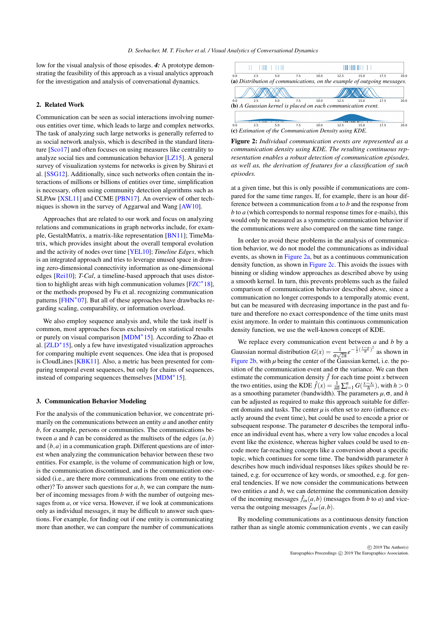<span id="page-1-1"></span>low for the visual analysis of those episodes. *4:* A prototype demonstrating the feasibility of this approach as a visual analytics approach for the investigation and analysis of conversational dynamics.

#### 2. Related Work

Communication can be seen as social interactions involving numerous entities over time, which leads to large and complex networks. The task of analyzing such large networks is generally referred to as social network analysis, which is described in the standard literature [\[Sco17\]](#page-4-7) and often focuses on using measures like centrality to analyze social ties and communication behavior [\[LZ15\]](#page-4-8). A general survey of visualization systems for networks is given by Shiravi et al. [\[SSG12\]](#page-4-9). Additionally, since such networks often contain the interactions of millions or billions of entities over time, simplification is necessary, often using community detection algorithms such as SLPAw [\[XSL11\]](#page-4-0) and CCME [\[PBN17\]](#page-4-2). An overview of other techniques is shown in the survey of Aggarwal and Wang [\[AW10\]](#page-4-10).

Approaches that are related to our work and focus on analyzing relations and communications in graph networks include, for example, GestaltMatrix, a matrix-like representation [\[BN11\]](#page-4-11); TimeMatrix, which provides insight about the overall temporal evolution and the activity of nodes over time [\[YEL10\]](#page-4-12); *Timeline Edges*, which is an integrated approach and tries to leverage unused space in drawing zero-dimensional connectivity information as one-dimensional edges [\[Rei10\]](#page-4-13); *T-Cal*, a timeline-based approach that uses distortion to highlight areas with high communication volumes  $[{\rm FZC}^*18]$ , or the methods proposed by Fu et al. recognizing communication patterns [\[FHN](#page-4-15)<sup>\*</sup>07]. But all of these approaches have drawbacks regarding scaling, comparability, or information overload.

We also employ sequence analysis and, while the task itself is common, most approaches focus exclusively on statistical results or purely on visual comparison [\[MDM](#page-4-16)<sup>∗</sup> 15]. According to Zhao et al. [\[ZLD](#page-4-17)<sup>\*</sup>15], only a few have investigated visualization approaches for comparing multiple event sequences. One idea that is proposed is CloudLines [\[KBK11\]](#page-4-18). Also, a metric has been presented for comparing temporal event sequences, but only for chains of sequences, instead of comparing sequences themselves [\[MDM](#page-4-16)<sup>∗</sup> 15].

#### 3. Communication Behavior Modeling

For the analysis of the communication behavior, we concentrate primarily on the communications between an entity *a* and another entity *b*, for example, persons or communities. The communications between *a* and *b* can be considered as the multisets of the edges  $(a, b)$ and  $(b, a)$  in a communication graph. Different questions are of interest when analyzing the communication behavior between these two entities. For example, is the volume of communication high or low, is the communication discontinued, and is the communication onesided (i.e., are there more communications from one entity to the other)? To answer such questions for *a*,*b*, we can compare the number of incoming messages from *b* with the number of outgoing messages from *a*, or vice versa. However, if we look at communications only as individual messages, it may be difficult to answer such questions. For example, for finding out if one entity is communicating more than another, we can compare the number of communications

<span id="page-1-0"></span>

Figure 2: *Individual communication events are represented as a communication density using KDE. The resulting continuous representation enables a robust detection of communication episodes, as well as, the derivation of features for a classification of such episodes.*

at a given time, but this is only possible if communications are compared for the same time ranges. If, for example, there is an hour difference between a communication from *a* to *b* and the response from *b* to *a* (which corresponds to normal response times for e-mails), this would only be measured as a symmetric communication behavior if the communications were also compared on the same time range.

In order to avoid these problems in the analysis of communication behavior, we do not model the communications as individual events, as shown in [Figure 2a,](#page-1-0) but as a continuous communication density function, as shown in [Figure 2c.](#page-1-0) This avoids the issues with binning or sliding window approaches as described above by using a smooth kernel. In turn, this prevents problems such as the failed comparison of communication behavior described above, since a communication no longer corresponds to a temporally atomic event, but can be measured with decreasing importance in the past and future and therefore no exact correspondence of the time units must exist anymore. In order to maintain this continuous communication density function, we use the well-known concept of KDE.

We replace every communication event between *a* and *b* by a Gaussian normal distribution  $G(x) = \frac{1}{\sigma \sqrt{2\pi}} e^{-\frac{1}{2}(\frac{x-\mu}{\sigma})^2}$  as shown in [Figure 2b,](#page-1-0) with *µ* being the center of the Gaussian kernel, i.e. the position of the communication event and  $\sigma$  the variance. We can then estimate the communication density  $\hat{f}$  for each time point *x* between the two entities, using the KDE  $\hat{f}(x) = \frac{1}{nh} \sum_{i=1}^{n} G(\frac{x - x_i}{h})$ , with  $h > 0$ as a smoothing parameter (bandwidth). The parameters *µ*,σ, and *h* can be adjusted as required to make this approach suitable for different domains and tasks. The center  $\mu$  is often set to zero (influence exactly around the event time), but could be used to encode a prior or subsequent response. The parameter  $\sigma$  describes the temporal influence an individual event has, where a very low value encodes a local event like the existence, whereas higher values could be used to encode more far-reaching concepts like a conversion about a specific topic, which continues for some time. The bandwidth parameter *h* describes how much individual responses likes spikes should be retained, e.g. for occurrence of key words, or smoothed, e.g. for general tendencies. If we now consider the communications between two entities *a* and *b*, we can determine the communication density of the incoming messages  $\hat{f}_{in}(a,b)$  (messages from *b* to *a*) and viceversa the outgoing messages  $\hat{f}_{out}(a, b)$ .

By modeling communications as a continuous density function rather than as single atomic communication events , we can easily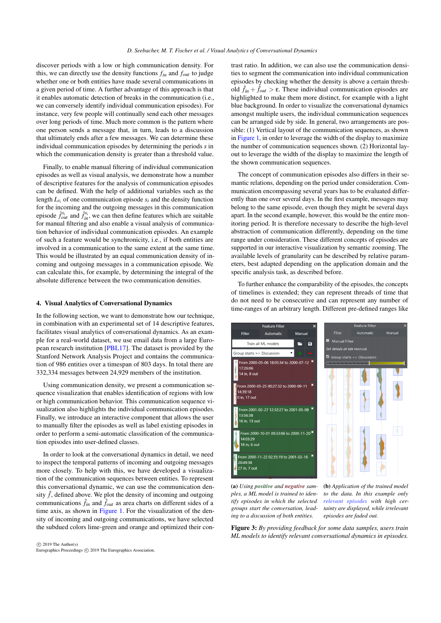<span id="page-2-1"></span>discover periods with a low or high communication density. For this, we can directly use the density functions *fin* and *fout* to judge whether one or both entities have made several communications in a given period of time. A further advantage of this approach is that it enables automatic detection of breaks in the communication (i.e., we can conversely identify individual communication episodes). For instance, very few people will continually send each other messages over long periods of time. Much more common is the pattern where one person sends a message that, in turn, leads to a discussion that ultimately ends after a few messages. We can determine these individual communication episodes by determining the periods *s* in which the communication density is greater than a threshold value.

Finally, to enable manual filtering of individual communication episodes as well as visual analysis, we demonstrate how a number of descriptive features for the analysis of communication episodes can be defined. With the help of additional variables such as the length  $L_s$  of one communication episode  $s_i$  and the density function for the incoming and the outgoing messages in this communication episode  $\hat{f}_{out}^{s_i}$  and  $\hat{f}_{in}^{s_i}$ , we can then define features which are suitable for manual filtering and also enable a visual analysis of communication behavior of individual communication episodes. An example of such a feature would be synchronicity, i.e., if both entities are involved in a communication to the same extent at the same time. This would be illustrated by an equal communication density of incoming and outgoing messages in a communication episode. We can calculate this, for example, by determining the integral of the absolute difference between the two communication densities.

#### 4. Visual Analytics of Conversational Dynamics

In the following section, we want to demonstrate how our technique, in combination with an experimental set of 14 descriptive features, facilitates visual analytics of conversational dynamics. As an example for a real-world dataset, we use email data from a large European research institution [\[PBL17\]](#page-4-19). The dataset is provided by the Stanford Network Analysis Project and contains the communication of 986 entities over a timespan of 803 days. In total there are 332,334 messages between 24,929 members of the institution.

Using communication density, we present a communication sequence visualization that enables identification of regions with low or high communication behavior. This communication sequence visualization also highlights the individual communication episodes. Finally, we introduce an interactive component that allows the user to manually filter the episodes as well as label existing episodes in order to perform a semi-automatic classification of the communication episodes into user-defined classes.

In order to look at the conversational dynamics in detail, we need to inspect the temporal patterns of incoming and outgoing messages more closely. To help with this, we have developed a visualization of the communication sequences between entities. To represent this conversational dynamic, we can use the communication density  $\hat{f}$ , defined above. We plot the density of incoming and outgoing communications  $\hat{f}_{in}$  and  $\hat{f}_{out}$  as area charts on different sides of a time axis, as shown in [Figure 1.](#page-0-0) For the visualization of the density of incoming and outgoing communications, we have selected the subdued colors lime-green and orange and optimized their con-

 $\circ$  2019 The Author(s) Eurographics Proceedings (C) 2019 The Eurographics Association trast ratio. In addition, we can also use the communication densities to segment the communication into individual communication episodes by checking whether the density is above a certain threshold  $\hat{f}_{in} + \hat{f}_{out} > \varepsilon$ . These individual communication episodes are highlighted to make them more distinct, for example with a light blue background. In order to visualize the conversational dynamics amongst multiple users, the individual communication sequences can be arranged side by side. In general, two arrangements are possible: (1) Vertical layout of the communication sequences, as shown in [Figure 1,](#page-0-0) in order to leverage the width of the display to maximize the number of communication sequences shown. (2) Horizontal layout to leverage the width of the display to maximize the length of the shown communication sequences.

The concept of communication episodes also differs in their semantic relations, depending on the period under consideration. Communication encompassing several years has to be evaluated differently than one over several days. In the first example, messages may belong to the same episode, even though they might be several days apart. In the second example, however, this would be the entire monitoring period. It is therefore necessary to describe the high-level abstraction of communication differently, depending on the time range under consideration. These different concepts of episodes are supported in our interactive visualization by semantic zooming. The available levels of granularity can be described by relative parameters, best adapted depending on the application domain and the specific analysis task, as described before.

To further enhance the comparability of the episodes, the concepts of timelines is extended; they can represent threads of time that do not need to be consecutive and can represent any number of time-ranges of an arbitrary length. Different pre-defined ranges like

<span id="page-2-0"></span>

(a) *Using positive and negative samples, a ML model is trained to identify episodes in which the selected groups start the conversation, leading to a discussion of both entities.*

(b) *Application of the trained model to the data. In this example only relevant episodes with high certainty are displayed, while irrelevant episodes are faded out.*

Figure 3: *By providing feedback for some data samples, users train ML models to identify relevant conversational dynamics in episodes.*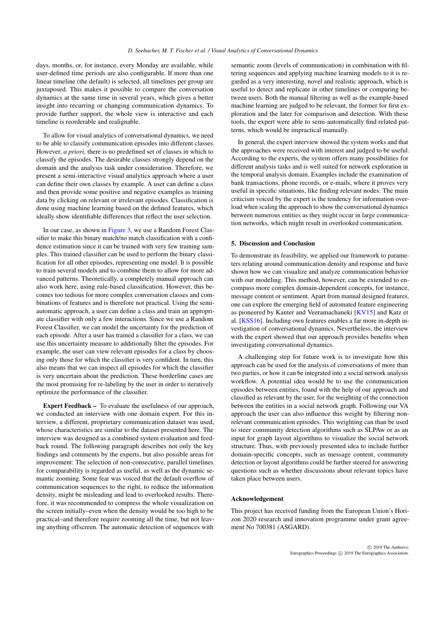<span id="page-3-0"></span>days, months, or, for instance, every Monday are available, while user-defined time periods are also configurable. If more than one linear timeline (the default) is selected, all timelines per group are juxtaposed. This makes it possible to compare the conversation dynamics at the same time in several years, which gives a better insight into recurring or changing communication dynamics. To provide further support, the whole view is interactive and each timeline is reorderable and realignable.

To allow for visual analytics of conversational dynamics, we need to be able to classify communication episodes into different classes. However, *a priori*, there is no predefined set of classes in which to classify the episodes. The desirable classes strongly depend on the domain and the analysis task under consideration. Therefore, we present a semi-interactive visual analytics approach where a user can define their own classes by example. A user can define a class and then provide some positive and negative examples as training data by clicking on relevant or irrelevant episodes. Classification is done using machine learning based on the defined features, which ideally show identifiable differences that reflect the user selection.

In our case, as shown in [Figure 3,](#page-2-0) we use a Random Forest Classifier to make this binary match/no match classification with a confidence estimation since it can be trained with very few training samples. This trained classifier can be used to perform the binary classification for all other episodes, representing one model. It is possible to train several models and to combine them to allow for more advanced patterns. Theoretically, a completely manual approach can also work here, using rule-based classification. However, this becomes too tedious for more complex conversation classes and combinations of features and is therefore not practical. Using the semiautomatic approach, a user can define a class and train an appropriate classifier with only a few interactions. Since we use a Random Forest Classifier, we can model the uncertainty for the prediction of each episode. After a user has trained a classifier for a class, we can use this uncertainty measure to additionally filter the episodes. For example, the user can view relevant episodes for a class by choosing only those for which the classifier is very confident. In turn, this also means that we can inspect all episodes for which the classifier is very uncertain about the prediction. These borderline cases are the most promising for re-labeling by the user in order to iteratively optimize the performance of the classifier.

Expert Feedback – To evaluate the usefulness of our approach, we conducted an interview with one domain expert. For this interview, a different, proprietary communication dataset was used, whose characteristics are similar to the dataset presented here. The interview was designed as a combined system evaluation and feedback round. The following paragraph describes not only the key findings and comments by the experts, but also possible areas for improvement: The selection of non-consecutive, parallel timelines for comparability is regarded as useful, as well as the dynamic semantic zooming. Some fear was voiced that the default overflow of communication sequences to the right, to reduce the information density, might be misleading and lead to overlooked results. Therefore, it was recommended to compress the whole visualization on the screen initially–even when the density would be too high to be practical–and therefore require zooming all the time, but not leaving anything offscreen. The automatic detection of sequences with semantic zoom (levels of communication) in combination with filtering sequences and applying machine learning models to it is regarded as a very interesting, novel and realistic approach, which is useful to detect and replicate in other timelines or comparing between users. Both the manual filtering as well as the example-based machine learning are judged to be relevant, the former for first exploration and the later for comparison and detection. With these tools, the expert were able to semi-automatically find related patterns, which would be impractical manually.

In general, the expert interview showed the system works and that the approaches were received with interest and judged to be useful. According to the experts, the system offers many possibilities for different analysis tasks and is well suited for network exploration in the temporal analysis domain. Examples include the examination of bank transactions, phone records, or e-mails, where it proves very useful in specific situations, like finding relevant nodes. The main criticism voiced by the expert is the tendency for information overload when scaling the approach to show the conversational dynamics between numerous entities as they might occur in large communication networks, which might result in overlooked communication.

### 5. Discussion and Conclusion

To demonstrate its feasibility, we applied our framework to parameters relating around communication density and response and have shown how we can visualize and analyze communication behavior with our modeling. This method, however, can be extended to encompass more complex domain-dependent concepts, for instance, message content or sentiment. Apart from manual designed features, one can explore the emerging field of automated feature engineering as pioneered by Kanter and Veeramachaneki [\[KV15\]](#page-4-20) and Katz et al. [\[KSS16\]](#page-4-21). Including own features enables a far more in-depth investigation of conversational dynamics. Nevertheless, the interview with the expert showed that our approach provides benefits when investigating conversational dynamics.

A challenging step for future work is to investigate how this approach can be used for the analysis of conversations of more than two parties, or how it can be integrated into a social network analysis workflow. A potential idea would be to use the communication episodes between entities, found with the help of our approach and classified as relevant by the user, for the weighting of the connection between the entities in a social network graph. Following our VA approach the user can also influence this weight by filtering nonrelevant communication episodes. This weighting can than be used to steer community detection algorithms such as SLPAw or as an input for graph layout algorithms to visualize the social network structure. Thus, with previously presented idea to include further domain-specific concepts, such as message content, community detection or layout algorithms could be further steered for answering questions such as whether discussions about relevant topics have taken place between users.

### Acknowledgement

This project has received funding from the European Union's Horizon 2020 research and innovation programme under grant agreement No 700381 (ASGARD).